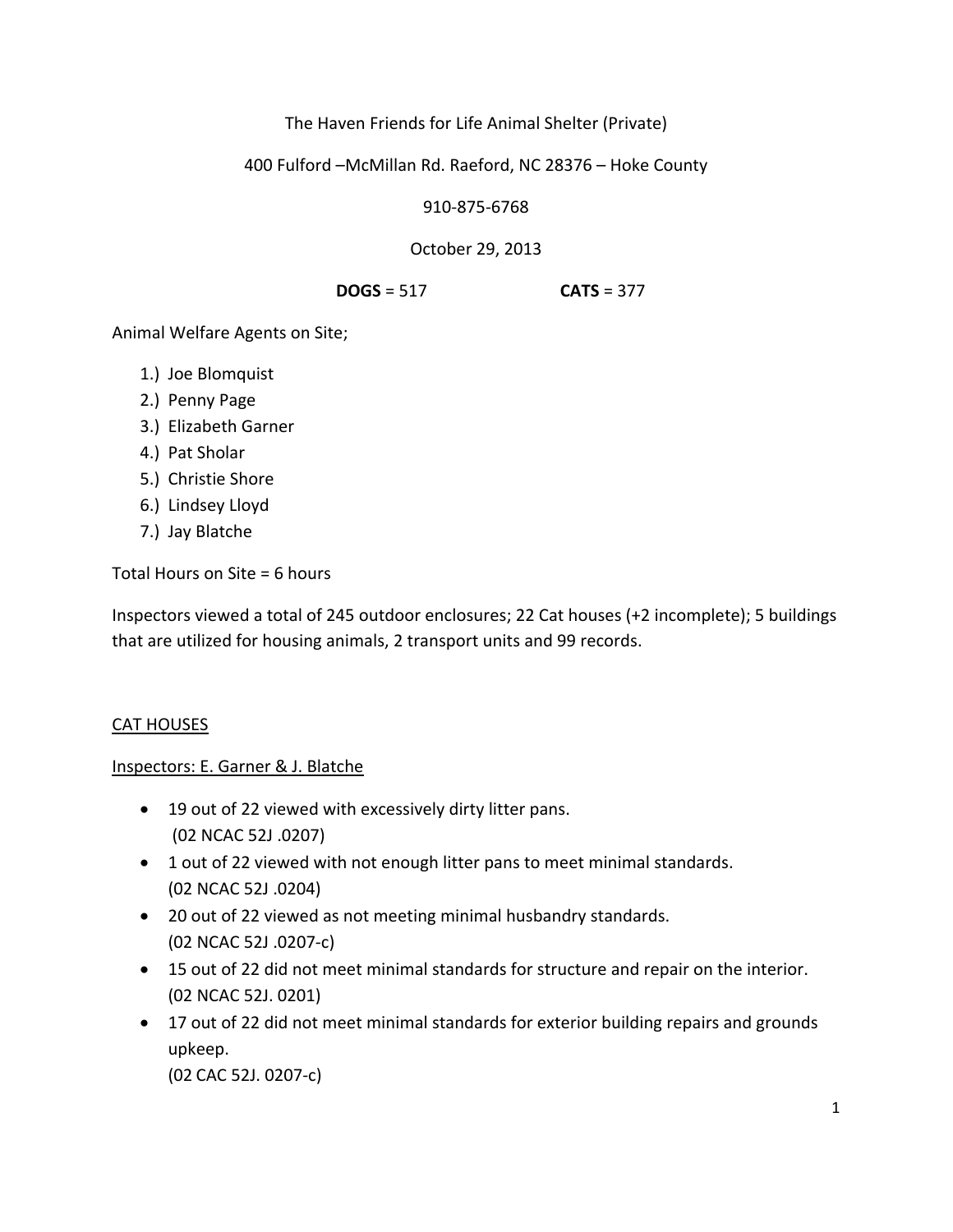The Haven Friends for Life Animal Shelter (Private)

400 Fulford –McMillan Rd. Raeford, NC 28376 – Hoke County

910‐875‐6768

October 29, 2013

**DOGS** = 517 **CATS** = 377

Animal Welfare Agents on Site;

- 1.) Joe Blomquist
- 2.) Penny Page
- 3.) Elizabeth Garner
- 4.) Pat Sholar
- 5.) Christie Shore
- 6.) Lindsey Lloyd
- 7.) Jay Blatche

Total Hours on Site = 6 hours

Inspectors viewed a total of 245 outdoor enclosures; 22 Cat houses (+2 incomplete); 5 buildings that are utilized for housing animals, 2 transport units and 99 records.

# CAT HOUSES

# Inspectors: E. Garner & J. Blatche

- 19 out of 22 viewed with excessively dirty litter pans. (02 NCAC 52J .0207)
- 1 out of 22 viewed with not enough litter pans to meet minimal standards. (02 NCAC 52J .0204)
- 20 out of 22 viewed as not meeting minimal husbandry standards. (02 NCAC 52J .0207‐c)
- 15 out of 22 did not meet minimal standards for structure and repair on the interior. (02 NCAC 52J. 0201)
- 17 out of 22 did not meet minimal standards for exterior building repairs and grounds upkeep.

(02 CAC 52J. 0207‐c)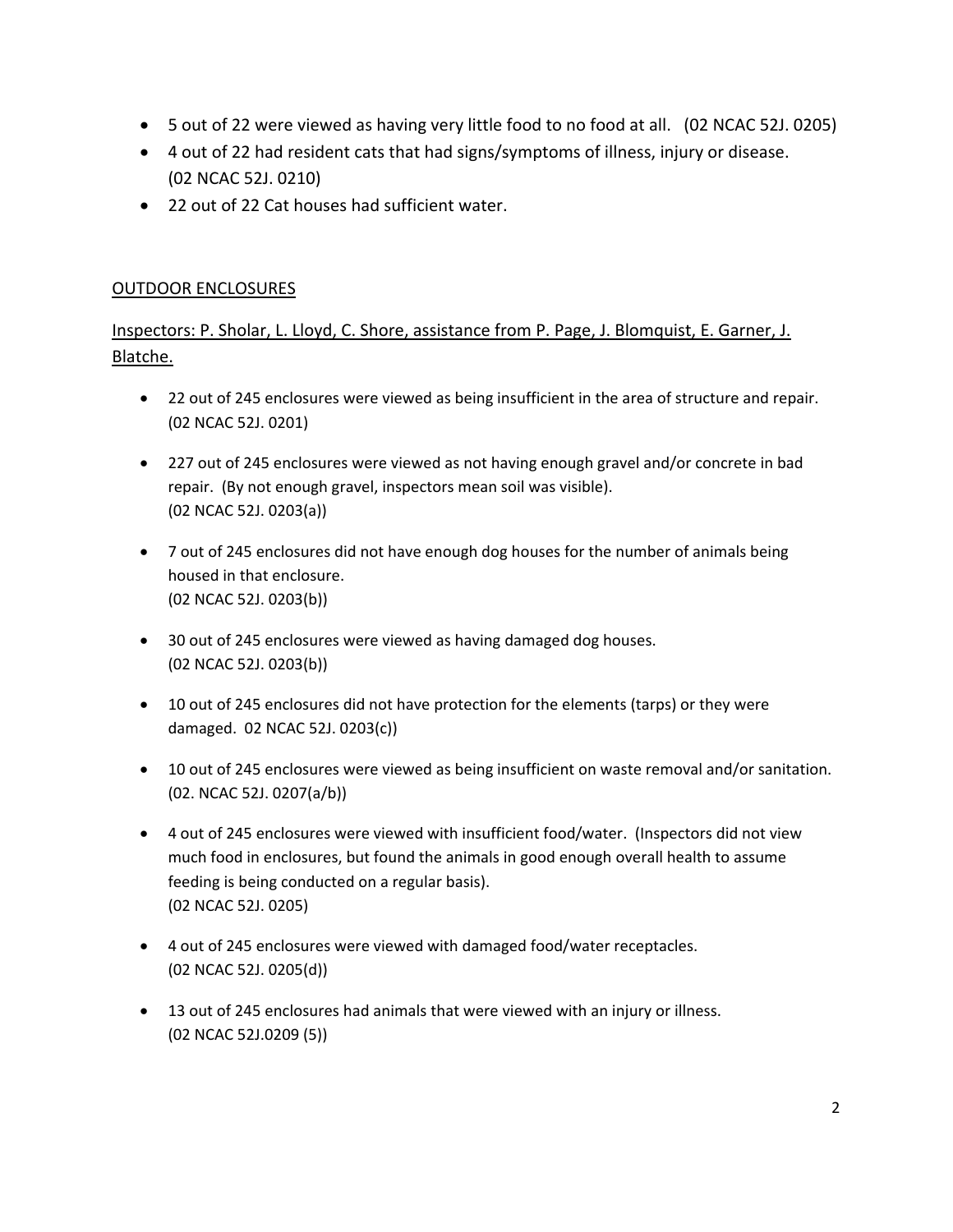- 5 out of 22 were viewed as having very little food to no food at all. (02 NCAC 52J. 0205)
- 4 out of 22 had resident cats that had signs/symptoms of illness, injury or disease. (02 NCAC 52J. 0210)
- 22 out of 22 Cat houses had sufficient water.

# OUTDOOR ENCLOSURES

Inspectors: P. Sholar, L. Lloyd, C. Shore, assistance from P. Page, J. Blomquist, E. Garner, J. Blatche.

- 22 out of 245 enclosures were viewed as being insufficient in the area of structure and repair. (02 NCAC 52J. 0201)
- 227 out of 245 enclosures were viewed as not having enough gravel and/or concrete in bad repair. (By not enough gravel, inspectors mean soil was visible). (02 NCAC 52J. 0203(a))
- 7 out of 245 enclosures did not have enough dog houses for the number of animals being housed in that enclosure. (02 NCAC 52J. 0203(b))
- 30 out of 245 enclosures were viewed as having damaged dog houses. (02 NCAC 52J. 0203(b))
- 10 out of 245 enclosures did not have protection for the elements (tarps) or they were damaged. 02 NCAC 52J. 0203(c))
- 10 out of 245 enclosures were viewed as being insufficient on waste removal and/or sanitation. (02. NCAC 52J. 0207(a/b))
- 4 out of 245 enclosures were viewed with insufficient food/water. (Inspectors did not view much food in enclosures, but found the animals in good enough overall health to assume feeding is being conducted on a regular basis). (02 NCAC 52J. 0205)
- 4 out of 245 enclosures were viewed with damaged food/water receptacles. (02 NCAC 52J. 0205(d))
- 13 out of 245 enclosures had animals that were viewed with an injury or illness. (02 NCAC 52J.0209 (5))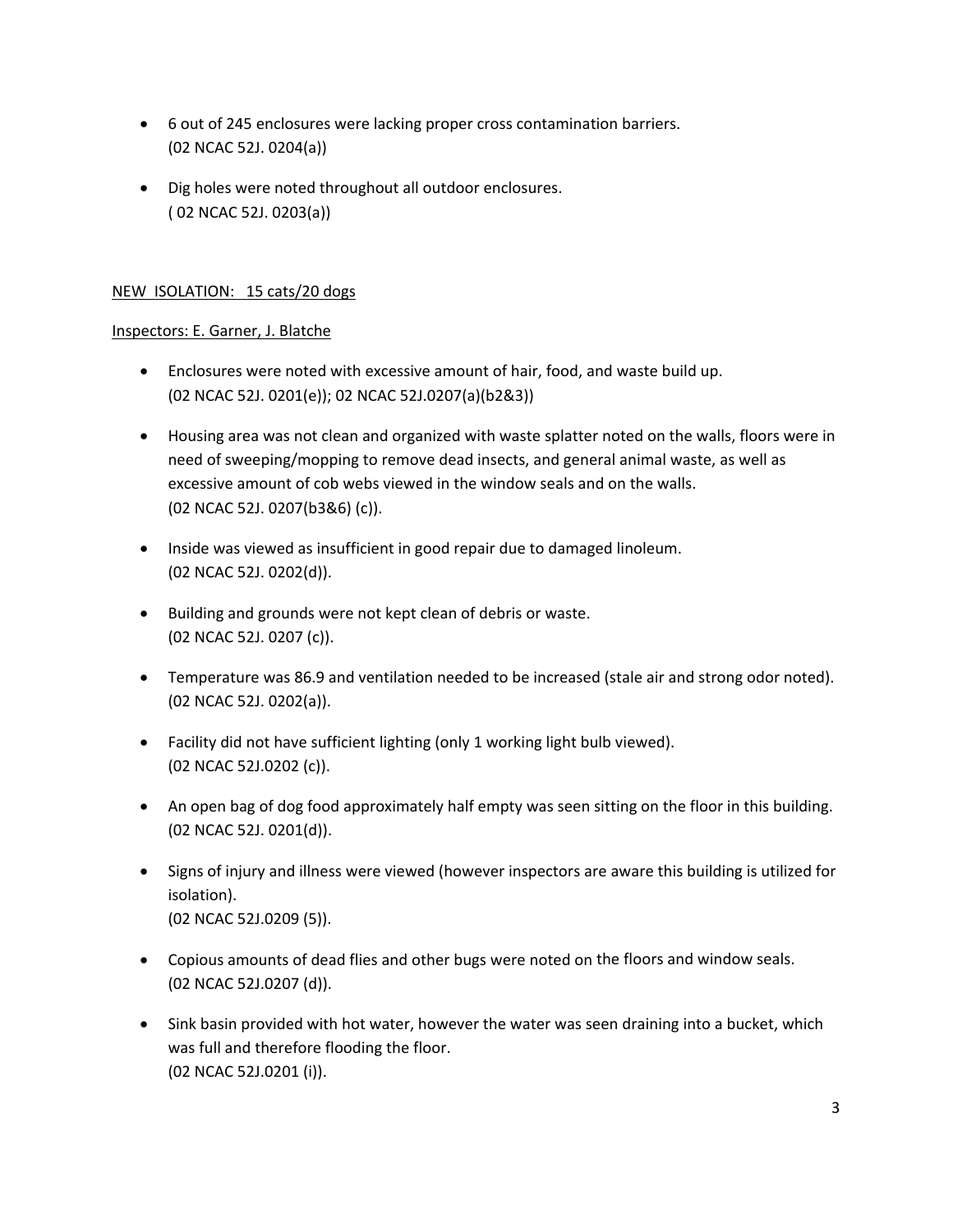- 6 out of 245 enclosures were lacking proper cross contamination barriers. (02 NCAC 52J. 0204(a))
- Dig holes were noted throughout all outdoor enclosures. ( 02 NCAC 52J. 0203(a))

# NEW ISOLATION: 15 cats/20 dogs

### Inspectors: E. Garner, J. Blatche

- Enclosures were noted with excessive amount of hair, food, and waste build up. (02 NCAC 52J. 0201(e)); 02 NCAC 52J.0207(a)(b2&3))
- Housing area was not clean and organized with waste splatter noted on the walls, floors were in need of sweeping/mopping to remove dead insects, and general animal waste, as well as excessive amount of cob webs viewed in the window seals and on the walls. (02 NCAC 52J. 0207(b3&6) (c)).
- Inside was viewed as insufficient in good repair due to damaged linoleum. (02 NCAC 52J. 0202(d)).
- Building and grounds were not kept clean of debris or waste. (02 NCAC 52J. 0207 (c)).
- Temperature was 86.9 and ventilation needed to be increased (stale air and strong odor noted). (02 NCAC 52J. 0202(a)).
- Facility did not have sufficient lighting (only 1 working light bulb viewed). (02 NCAC 52J.0202 (c)).
- An open bag of dog food approximately half empty was seen sitting on the floor in this building. (02 NCAC 52J. 0201(d)).
- Signs of injury and illness were viewed (however inspectors are aware this building is utilized for isolation). (02 NCAC 52J.0209 (5)).
- Copious amounts of dead flies and other bugs were noted on the floors and window seals. (02 NCAC 52J.0207 (d)).
- Sink basin provided with hot water, however the water was seen draining into a bucket, which was full and therefore flooding the floor. (02 NCAC 52J.0201 (i)).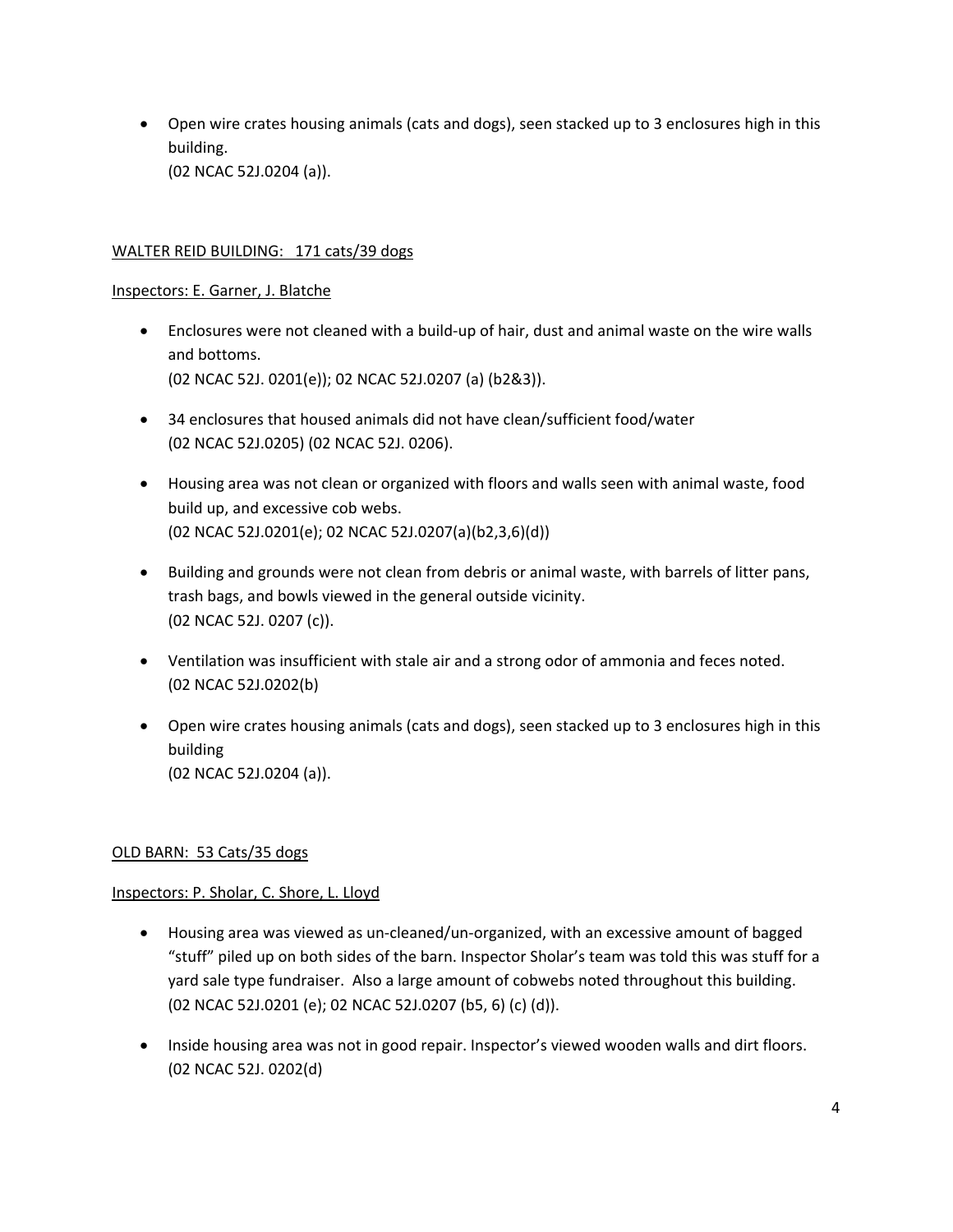Open wire crates housing animals (cats and dogs), seen stacked up to 3 enclosures high in this building. (02 NCAC 52J.0204 (a)).

### WALTER REID BUILDING: 171 cats/39 dogs

#### Inspectors: E. Garner, J. Blatche

- Enclosures were not cleaned with a build‐up of hair, dust and animal waste on the wire walls and bottoms. (02 NCAC 52J. 0201(e)); 02 NCAC 52J.0207 (a) (b2&3)).
- 34 enclosures that housed animals did not have clean/sufficient food/water (02 NCAC 52J.0205) (02 NCAC 52J. 0206).
- Housing area was not clean or organized with floors and walls seen with animal waste, food build up, and excessive cob webs. (02 NCAC 52J.0201(e); 02 NCAC 52J.0207(a)(b2,3,6)(d))
- Building and grounds were not clean from debris or animal waste, with barrels of litter pans, trash bags, and bowls viewed in the general outside vicinity. (02 NCAC 52J. 0207 (c)).
- Ventilation was insufficient with stale air and a strong odor of ammonia and feces noted. (02 NCAC 52J.0202(b)
- Open wire crates housing animals (cats and dogs), seen stacked up to 3 enclosures high in this building (02 NCAC 52J.0204 (a)).

#### OLD BARN: 53 Cats/35 dogs

#### Inspectors: P. Sholar, C. Shore, L. Lloyd

- Housing area was viewed as un-cleaned/un-organized, with an excessive amount of bagged "stuff" piled up on both sides of the barn. Inspector Sholar's team was told this was stuff for a yard sale type fundraiser. Also a large amount of cobwebs noted throughout this building. (02 NCAC 52J.0201 (e); 02 NCAC 52J.0207 (b5, 6) (c) (d)).
- Inside housing area was not in good repair. Inspector's viewed wooden walls and dirt floors. (02 NCAC 52J. 0202(d)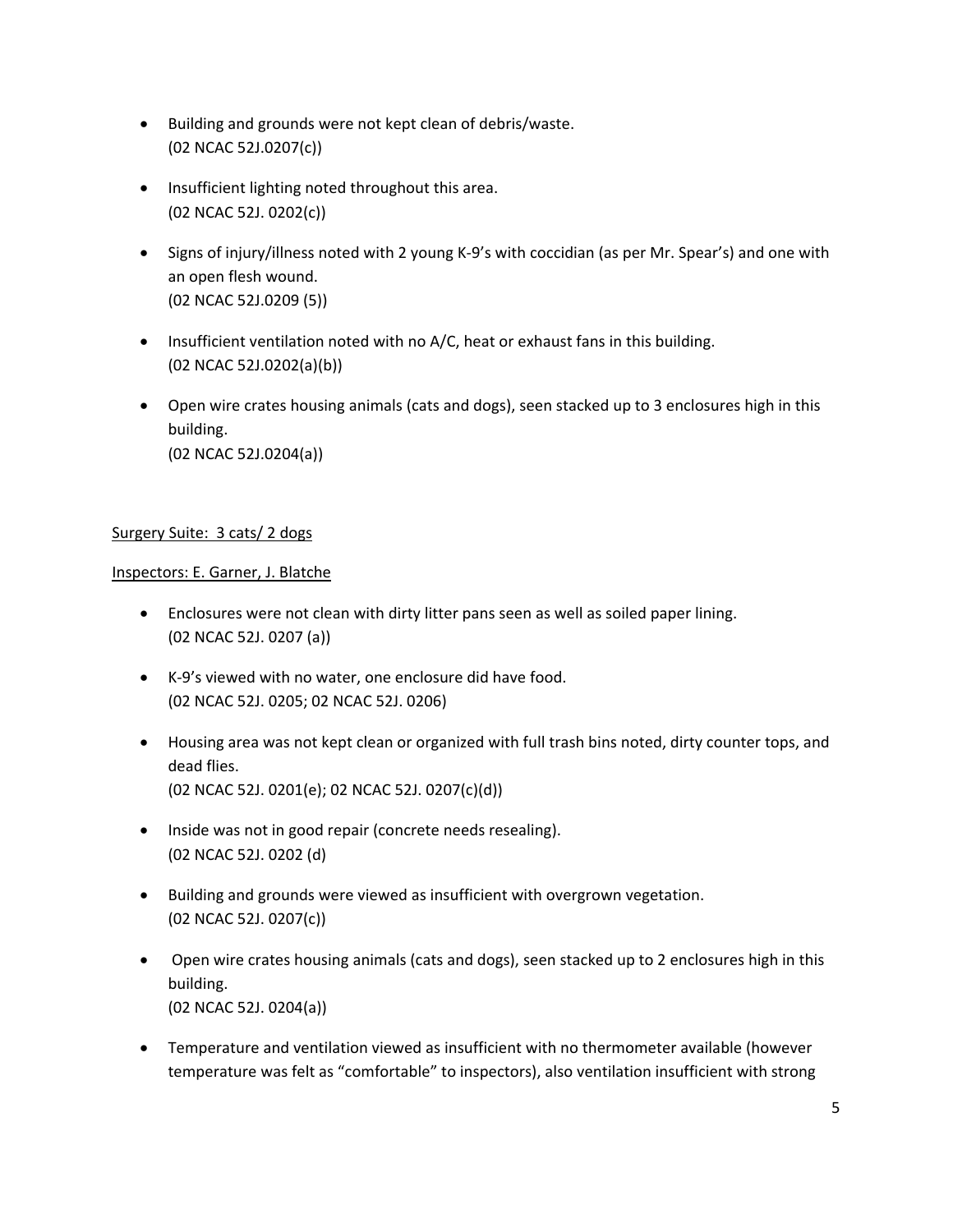- Building and grounds were not kept clean of debris/waste. (02 NCAC 52J.0207(c))
- Insufficient lighting noted throughout this area. (02 NCAC 52J. 0202(c))
- Signs of injury/illness noted with 2 young K-9's with coccidian (as per Mr. Spear's) and one with an open flesh wound. (02 NCAC 52J.0209 (5))
- Insufficient ventilation noted with no A/C, heat or exhaust fans in this building. (02 NCAC 52J.0202(a)(b))
- Open wire crates housing animals (cats and dogs), seen stacked up to 3 enclosures high in this building. (02 NCAC 52J.0204(a))

## Surgery Suite: 3 cats/ 2 dogs

### Inspectors: E. Garner, J. Blatche

- Enclosures were not clean with dirty litter pans seen as well as soiled paper lining. (02 NCAC 52J. 0207 (a))
- K-9's viewed with no water, one enclosure did have food. (02 NCAC 52J. 0205; 02 NCAC 52J. 0206)
- Housing area was not kept clean or organized with full trash bins noted, dirty counter tops, and dead flies. (02 NCAC 52J. 0201(e); 02 NCAC 52J. 0207(c)(d))
- Inside was not in good repair (concrete needs resealing). (02 NCAC 52J. 0202 (d)
- Building and grounds were viewed as insufficient with overgrown vegetation. (02 NCAC 52J. 0207(c))
- Open wire crates housing animals (cats and dogs), seen stacked up to 2 enclosures high in this building. (02 NCAC 52J. 0204(a))
- Temperature and ventilation viewed as insufficient with no thermometer available (however temperature was felt as "comfortable" to inspectors), also ventilation insufficient with strong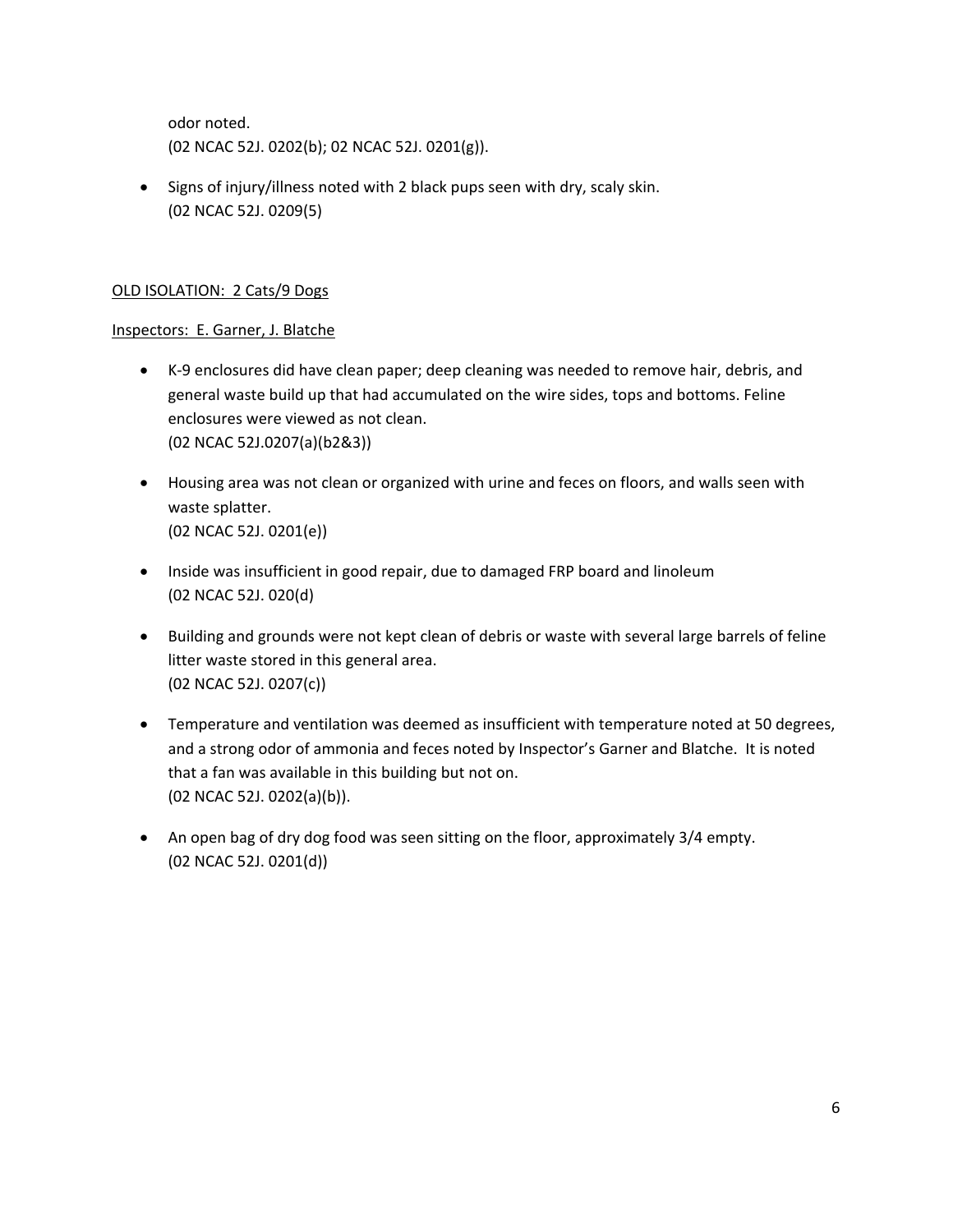odor noted. (02 NCAC 52J. 0202(b); 02 NCAC 52J. 0201(g)).

• Signs of injury/illness noted with 2 black pups seen with dry, scaly skin. (02 NCAC 52J. 0209(5)

# OLD ISOLATION: 2 Cats/9 Dogs

### Inspectors: E. Garner, J. Blatche

- K‐9 enclosures did have clean paper; deep cleaning was needed to remove hair, debris, and general waste build up that had accumulated on the wire sides, tops and bottoms. Feline enclosures were viewed as not clean. (02 NCAC 52J.0207(a)(b2&3))
- Housing area was not clean or organized with urine and feces on floors, and walls seen with waste splatter. (02 NCAC 52J. 0201(e))
- Inside was insufficient in good repair, due to damaged FRP board and linoleum (02 NCAC 52J. 020(d)
- Building and grounds were not kept clean of debris or waste with several large barrels of feline litter waste stored in this general area. (02 NCAC 52J. 0207(c))
- Temperature and ventilation was deemed as insufficient with temperature noted at 50 degrees, and a strong odor of ammonia and feces noted by Inspector's Garner and Blatche. It is noted that a fan was available in this building but not on. (02 NCAC 52J. 0202(a)(b)).
- An open bag of dry dog food was seen sitting on the floor, approximately 3/4 empty. (02 NCAC 52J. 0201(d))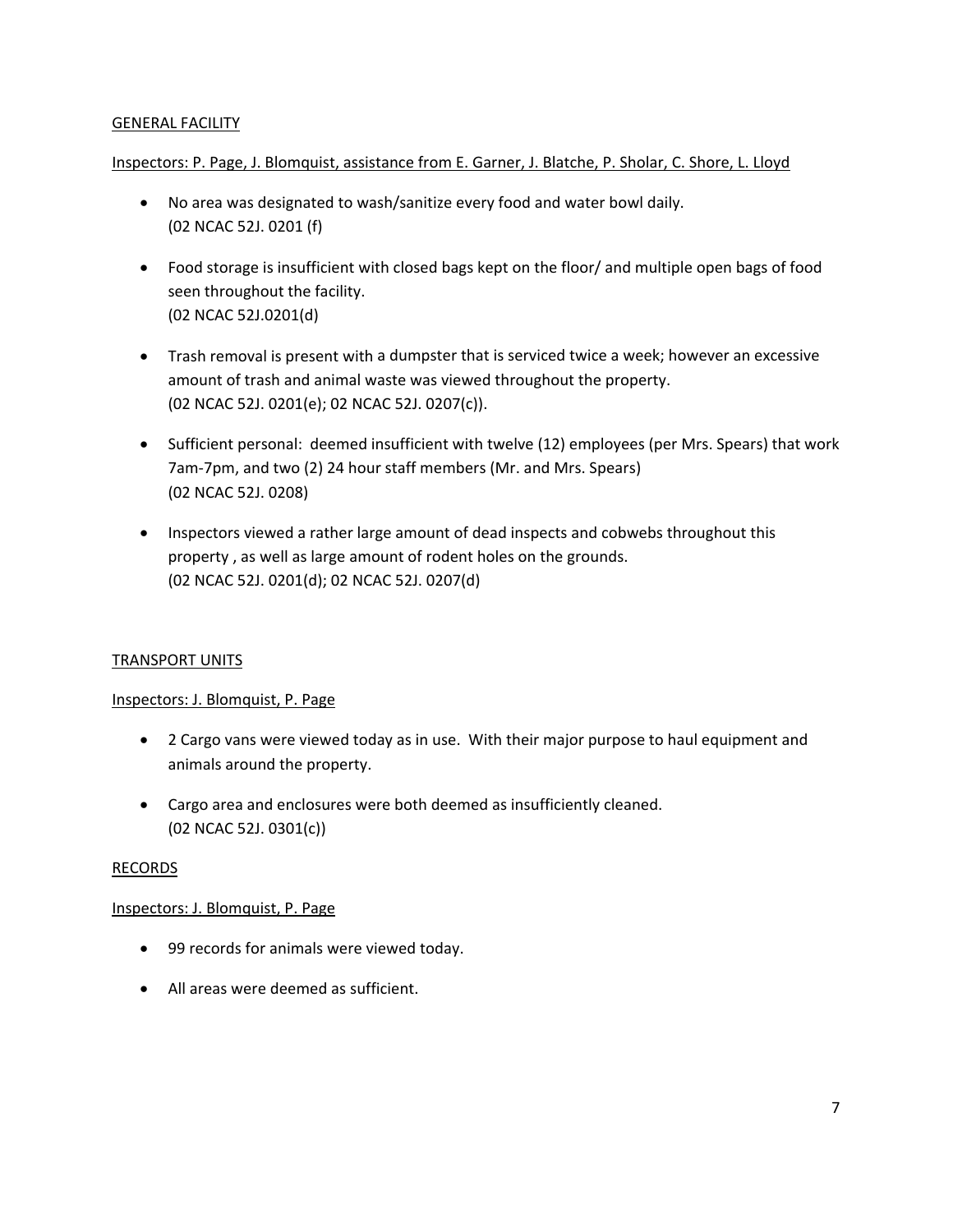### GENERAL FACILITY

Inspectors: P. Page, J. Blomquist, assistance from E. Garner, J. Blatche, P. Sholar, C. Shore, L. Lloyd

- No area was designated to wash/sanitize every food and water bowl daily. (02 NCAC 52J. 0201 (f)
- Food storage is insufficient with closed bags kept on the floor/ and multiple open bags of food seen throughout the facility. (02 NCAC 52J.0201(d)
- Trash removal is present with a dumpster that is serviced twice a week; however an excessive amount of trash and animal waste was viewed throughout the property. (02 NCAC 52J. 0201(e); 02 NCAC 52J. 0207(c)).
- Sufficient personal: deemed insufficient with twelve (12) employees (per Mrs. Spears) that work 7am‐7pm, and two (2) 24 hour staff members (Mr. and Mrs. Spears) (02 NCAC 52J. 0208)
- Inspectors viewed a rather large amount of dead inspects and cobwebs throughout this property , as well as large amount of rodent holes on the grounds. (02 NCAC 52J. 0201(d); 02 NCAC 52J. 0207(d)

## TRANSPORT UNITS

#### Inspectors: J. Blomquist, P. Page

- 2 Cargo vans were viewed today as in use. With their major purpose to haul equipment and animals around the property.
- Cargo area and enclosures were both deemed as insufficiently cleaned. (02 NCAC 52J. 0301(c))

#### RECORDS

#### Inspectors: J. Blomquist, P. Page

- 99 records for animals were viewed today.
- All areas were deemed as sufficient.